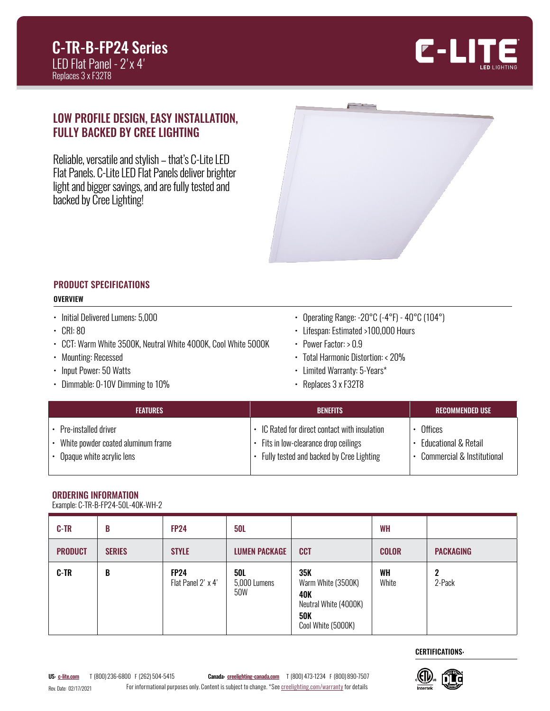

## LOW PROFILE DESIGN, EASY INSTALLATION, FULLY BACKED BY CREE LIGHTING

Reliable, versatile and stylish – that's C-Lite LED Flat Panels. C-Lite LED Flat Panels deliver brighter light and bigger savings, and are fully tested and backed by Cree Lighting!



#### PRODUCT SPECIFICATIONS **OVERVIEW**

- 
- Initial Delivered Lumens: 5,000
- CRI: 80
- CCT: Warm White 3500K, Neutral White 4000K, Cool White 5000K
- Mounting: Recessed
- Input Power: 50 Watts
- Dimmable: 0-10V Dimming to 10%
- Operating Range: -20°C (-4°F) 40°C (104°)
- Lifespan: Estimated >100,000 Hours
- Power Factor: > 0.9
- Total Harmonic Distortion: < 20%
- Limited Warranty: 5-Years\*
- Replaces 3 x F32T8

| <b>FEATURES</b>                    | <b>BENFFITS</b>                             | RECOMMENDED USE              |
|------------------------------------|---------------------------------------------|------------------------------|
| Pre-installed driver               | IC Rated for direct contact with insulation | Offices                      |
| White powder coated aluminum frame | Fits in low-clearance drop ceilings         | • Educational & Retail       |
| Opaque white acrylic lens          | Fully tested and backed by Cree Lighting    | • Commercial & Institutional |

### ORDERING INFORMATION

| ------------------------------    |  |
|-----------------------------------|--|
| Example: C-TR-B-FP24-50L-40K-WH-2 |  |

| <b>C-TR</b>    | B             | <b>FP24</b>                       | <b>50L</b>                        |                                                                                               | <b>WH</b>    |                  |
|----------------|---------------|-----------------------------------|-----------------------------------|-----------------------------------------------------------------------------------------------|--------------|------------------|
| <b>PRODUCT</b> | <b>SERIES</b> | <b>STYLE</b>                      | <b>LUMEN PACKAGE</b>              | <b>CCT</b>                                                                                    | <b>COLOR</b> | <b>PACKAGING</b> |
| <b>C-TR</b>    | B             | <b>FP24</b><br>Flat Panel 2' x 4' | <b>50L</b><br>5,000 Lumens<br>50W | 35K<br>Warm White (3500K)<br>40K<br>Neutral White (4000K)<br><b>50K</b><br>Cool White (5000K) | WH<br>White  | 2<br>2-Pack      |

### CERTIFICATIONS:

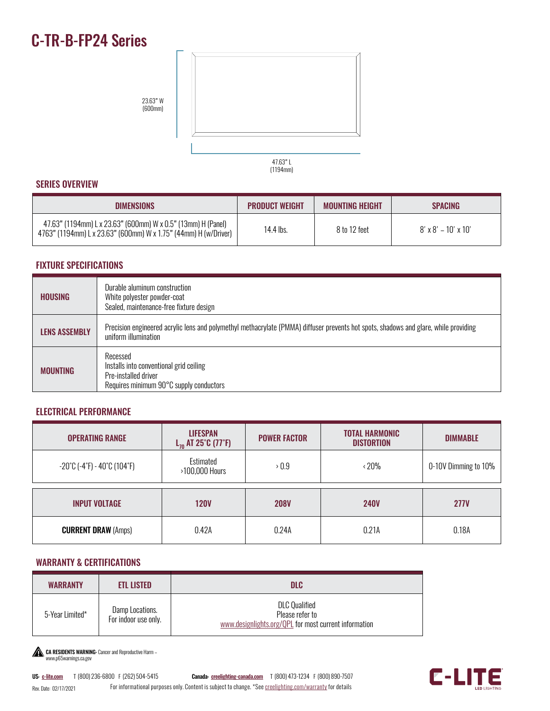# C-TR-B-FP24 Series



#### SERIES OVERVIEW

| <b>DIMENSIONS</b>                                                                                                               | <b>PRODUCT WEIGHT</b> | <b>MOUNTING HEIGHT</b> | <b>SPACING</b>                  |
|---------------------------------------------------------------------------------------------------------------------------------|-----------------------|------------------------|---------------------------------|
| 47.63" (1194mm) L x 23.63" (600mm) W x 0.5" (13mm) H (Panel)<br>4763" (1194mm) L x 23.63" (600mm) W x 1.75" (44mm) H (w/Driver) | 14.4 lbs.             | 8 to 12 feet           | $8' \times 8' - 10' \times 10'$ |

#### FIXTURE SPECIFICATIONS

| <b>HOUSING</b>       | Durable aluminum construction<br>White polyester powder-coat<br>Sealed, maintenance-free fixture design                                                      |
|----------------------|--------------------------------------------------------------------------------------------------------------------------------------------------------------|
| <b>LENS ASSEMBLY</b> | Precision engineered acrylic lens and polymethyl methacrylate (PMMA) diffuser prevents hot spots, shadows and glare, while providing<br>uniform illumination |
| <b>MOUNTING</b>      | Recessed<br>Installs into conventional grid ceiling<br>Pre-installed driver<br>Requires minimum 90°C supply conductors                                       |

#### ELECTRICAL PERFORMANCE

| <b>OPERATING RANGE</b>                                                 | <b>LIFESPAN</b><br>$L_{70}$ AT 25°C (77°F) | <b>POWER FACTOR</b> | <b>TOTAL HARMONIC</b><br><b>DISTORTION</b> | <b>DIMMABLE</b>      |
|------------------------------------------------------------------------|--------------------------------------------|---------------------|--------------------------------------------|----------------------|
| $-20^{\circ}$ C (-4 $^{\circ}$ F) - 40 $^{\circ}$ C (104 $^{\circ}$ F) | Estimated<br>>100,000 Hours                | >0.9                | $\cdot$ 20%                                | 0-10V Dimming to 10% |
| <b>INPUT VOLTAGE</b>                                                   | <b>120V</b>                                | <b>208V</b>         | <b>240V</b>                                | <b>277V</b>          |
| <b>CURRENT DRAW (Amps)</b>                                             | 0.42A                                      | 0.24A               | 0.21A                                      | 0.18A                |

#### WARRANTY & CERTIFICATIONS

| <b>WARRANTY</b> | <b>ETL LISTED</b>                       | <b>DLC</b>                                                                                       |  |
|-----------------|-----------------------------------------|--------------------------------------------------------------------------------------------------|--|
| 5-Year Limited* | Damp Locations.<br>For indoor use only. | <b>DLC Qualified</b><br>Please refer to<br>www.designlights.org/QPL for most current information |  |

CA RESIDENTS WARNING: Cancer and Reproductive Harm – www.p65warnings.ca.gov

Rev. Date: 02/17/2021 US: [c-lite.com](http://c-lite.com) T (800) 236-6800 F (262) 504-5415 Canada: [creelighting-canada.com](http://creelighting-canada.com) T (800) 473-1234 F (800) 890-7507 For informational purposes only. Content is subject to change. \*See [creelighting.com/warranty](http://creelighting.com/warranty) for details